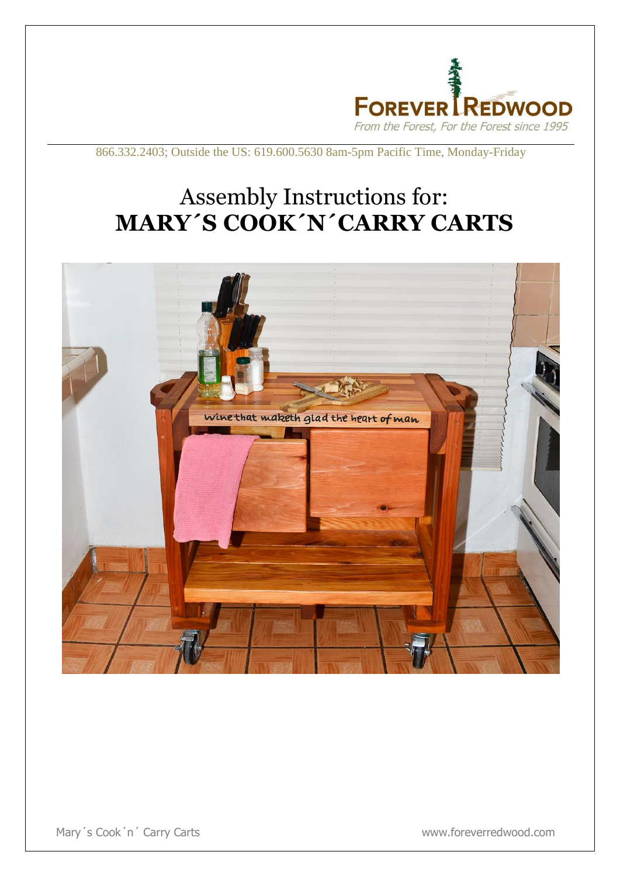

866.332.2403; Outside the US: 619.600.5630 8am-5pm Pacific Time, Monday-Friday

## Assembly Instructions for: **MARY´S COOK´N´CARRY CARTS**



Mary's Cook'n' Carry Carts **WARGET COOK** www.foreverredwood.com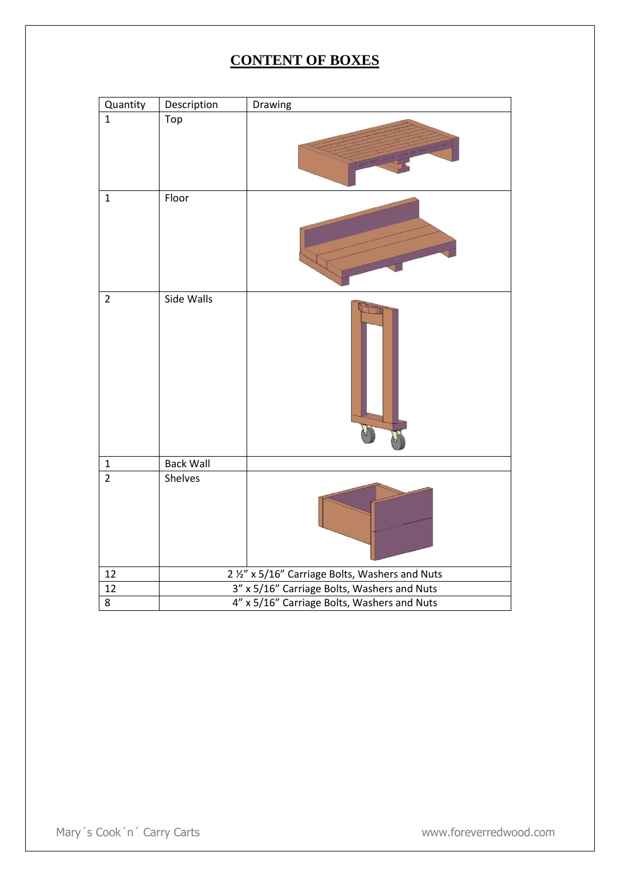## **CONTENT OF BOXES**

| Quantity       | Description                                     | Drawing |
|----------------|-------------------------------------------------|---------|
| $\mathbf{1}$   | Top                                             |         |
| $\mathbf{1}$   | Floor                                           |         |
| $\overline{2}$ | Side Walls                                      |         |
| $\mathbf 1$    | <b>Back Wall</b>                                |         |
| $\overline{2}$ | Shelves                                         |         |
| 12             | 2 1/2" x 5/16" Carriage Bolts, Washers and Nuts |         |
| 12             | 3" x 5/16" Carriage Bolts, Washers and Nuts     |         |
| 8              | 4" x 5/16" Carriage Bolts, Washers and Nuts     |         |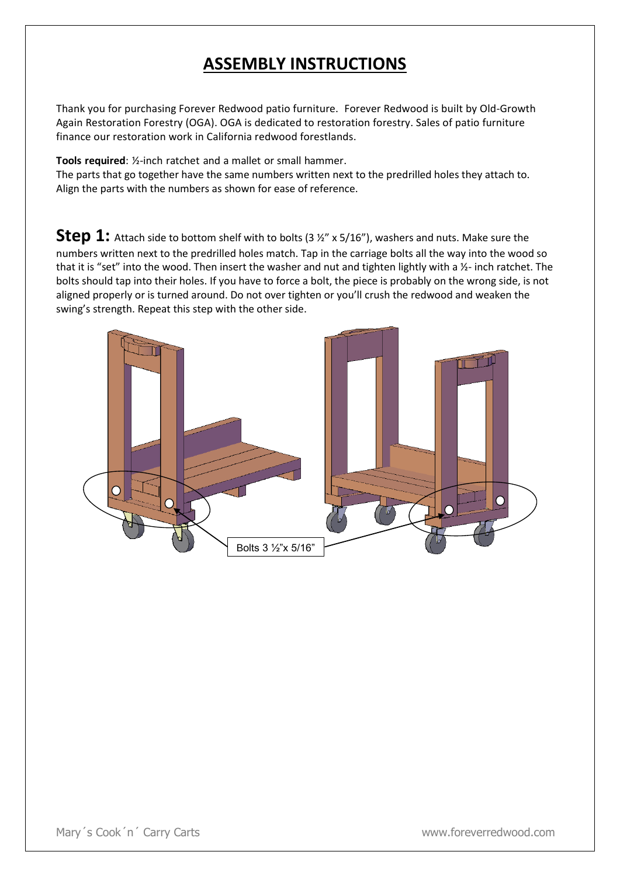## **ASSEMBLY INSTRUCTIONS**

Thank you for purchasing Forever Redwood patio furniture. Forever Redwood is built by Old-Growth Again Restoration Forestry (OGA). OGA is dedicated to restoration forestry. Sales of patio furniture finance our restoration work in California redwood forestlands.

**Tools required**: ½-inch ratchet and a mallet or small hammer.

The parts that go together have the same numbers written next to the predrilled holes they attach to. Align the parts with the numbers as shown for ease of reference.

**Step 1:** Attach side to bottom shelf with to bolts (3  $\frac{1}{2}$  x 5/16"), washers and nuts. Make sure the numbers written next to the predrilled holes match. Tap in the carriage bolts all the way into the wood so that it is "set" into the wood. Then insert the washer and nut and tighten lightly with a ½- inch ratchet. The bolts should tap into their holes. If you have to force a bolt, the piece is probably on the wrong side, is not aligned properly or is turned around. Do not over tighten or you'll crush the redwood and weaken the swing's strength. Repeat this step with the other side.